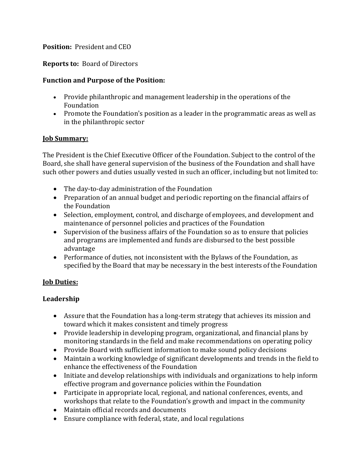### **Position:** President and CEO

### **Reports to:** Board of Directors

### **Function and Purpose of the Position:**

- Provide philanthropic and management leadership in the operations of the Foundation
- Promote the Foundation's position as a leader in the programmatic areas as well as in the philanthropic sector

#### **Job Summary:**

The President is the Chief Executive Officer of the Foundation. Subject to the control of the Board, she shall have general supervision of the business of the Foundation and shall have such other powers and duties usually vested in such an officer, including but not limited to:

- The day-to-day administration of the Foundation
- Preparation of an annual budget and periodic reporting on the financial affairs of the Foundation
- Selection, employment, control, and discharge of employees, and development and maintenance of personnel policies and practices of the Foundation
- Supervision of the business affairs of the Foundation so as to ensure that policies and programs are implemented and funds are disbursed to the best possible advantage
- Performance of duties, not inconsistent with the Bylaws of the Foundation, as specified by the Board that may be necessary in the best interests of the Foundation

# **Job Duties:**

#### **Leadership**

- Assure that the Foundation has a long-term strategy that achieves its mission and toward which it makes consistent and timely progress
- Provide leadership in developing program, organizational, and financial plans by monitoring standards in the field and make recommendations on operating policy
- Provide Board with sufficient information to make sound policy decisions
- Maintain a working knowledge of significant developments and trends in the field to enhance the effectiveness of the Foundation
- Initiate and develop relationships with individuals and organizations to help inform effective program and governance policies within the Foundation
- Participate in appropriate local, regional, and national conferences, events, and workshops that relate to the Foundation's growth and impact in the community
- Maintain official records and documents
- Ensure compliance with federal, state, and local regulations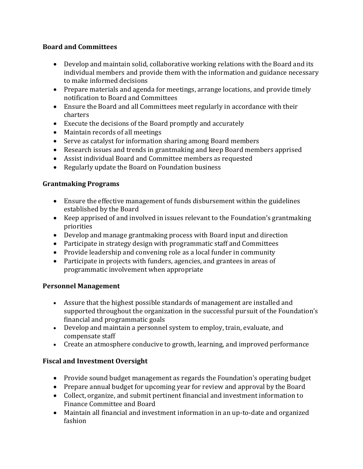# **Board and Committees**

- Develop and maintain solid, collaborative working relations with the Board and its individual members and provide them with the information and guidance necessary to make informed decisions
- Prepare materials and agenda for meetings, arrange locations, and provide timely notification to Board and Committees
- Ensure the Board and all Committees meet regularly in accordance with their charters
- Execute the decisions of the Board promptly and accurately
- Maintain records of all meetings
- Serve as catalyst for information sharing among Board members
- Research issues and trends in grantmaking and keep Board members apprised
- Assist individual Board and Committee members as requested
- Regularly update the Board on Foundation business

# **Grantmaking Programs**

- Ensure the effective management of funds disbursement within the guidelines established by the Board
- Keep apprised of and involved in issues relevant to the Foundation's grantmaking priorities
- Develop and manage grantmaking process with Board input and direction
- Participate in strategy design with programmatic staff and Committees
- Provide leadership and convening role as a local funder in community
- Participate in projects with funders, agencies, and grantees in areas of programmatic involvement when appropriate

# **Personnel Management**

- Assure that the highest possible standards of management are installed and supported throughout the organization in the successful pursuit of the Foundation's financial and programmatic goals
- Develop and maintain a personnel system to employ, train, evaluate, and compensate staff
- Create an atmosphere conducive to growth, learning, and improved performance

# **Fiscal and Investment Oversight**

- Provide sound budget management as regards the Foundation's operating budget
- Prepare annual budget for upcoming year for review and approval by the Board
- Collect, organize, and submit pertinent financial and investment information to Finance Committee and Board
- Maintain all financial and investment information in an up-to-date and organized fashion